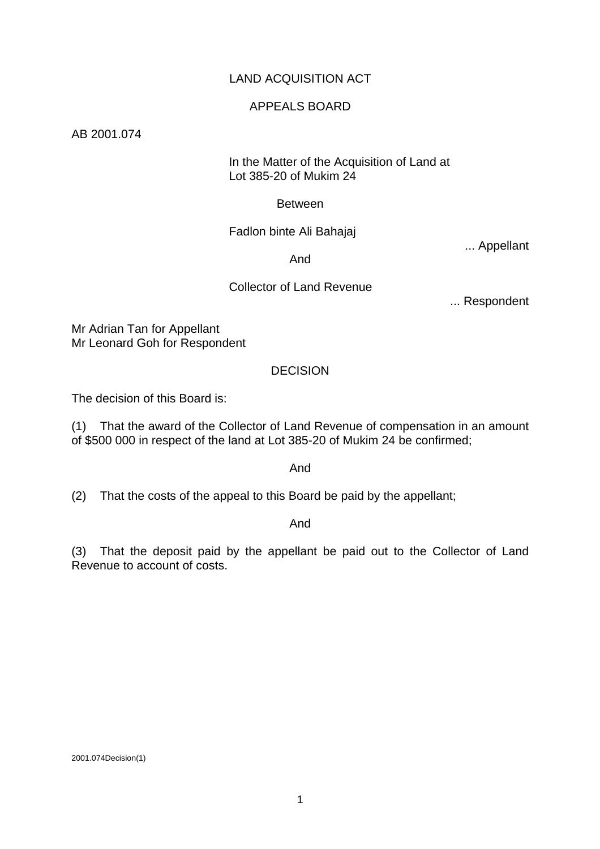# LAND ACQUISITION ACT

### APPEALS BOARD

AB 2001.074

### In the Matter of the Acquisition of Land at Lot 385-20 of Mukim 24

## Between

### Fadlon binte Ali Bahajaj

... Appellant

## And

## Collector of Land Revenue

... Respondent

Mr Adrian Tan for Appellant Mr Leonard Goh for Respondent

## DECISION

The decision of this Board is:

(1) That the award of the Collector of Land Revenue of compensation in an amount of \$500 000 in respect of the land at Lot 385-20 of Mukim 24 be confirmed;

And

(2) That the costs of the appeal to this Board be paid by the appellant;

#### And

(3) That the deposit paid by the appellant be paid out to the Collector of Land Revenue to account of costs.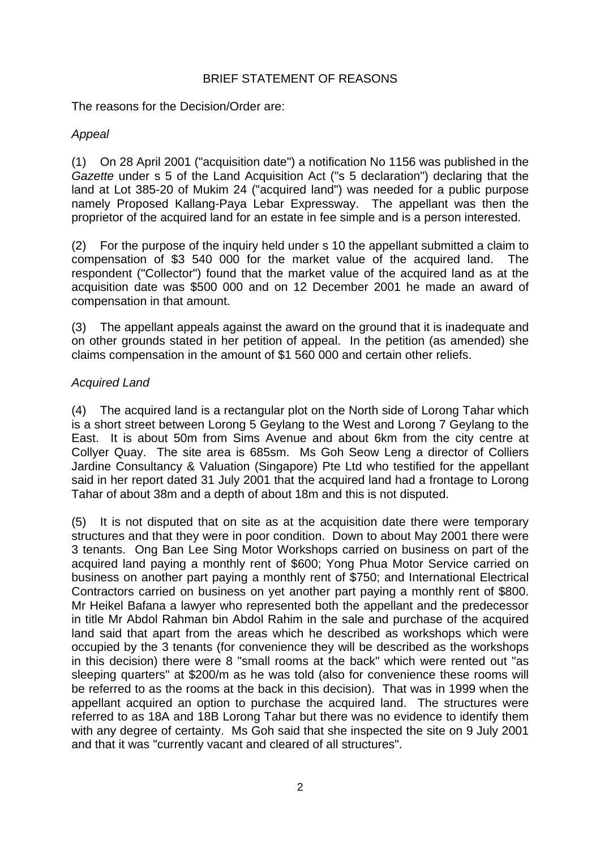## BRIEF STATEMENT OF REASONS

The reasons for the Decision/Order are:

# *Appeal*

(1) On 28 April 2001 ("acquisition date") a notification No 1156 was published in the *Gazette* under s 5 of the Land Acquisition Act ("s 5 declaration") declaring that the land at Lot 385-20 of Mukim 24 ("acquired land") was needed for a public purpose namely Proposed Kallang-Paya Lebar Expressway. The appellant was then the proprietor of the acquired land for an estate in fee simple and is a person interested.

(2) For the purpose of the inquiry held under s 10 the appellant submitted a claim to compensation of \$3 540 000 for the market value of the acquired land. The respondent ("Collector") found that the market value of the acquired land as at the acquisition date was \$500 000 and on 12 December 2001 he made an award of compensation in that amount.

(3) The appellant appeals against the award on the ground that it is inadequate and on other grounds stated in her petition of appeal. In the petition (as amended) she claims compensation in the amount of \$1 560 000 and certain other reliefs.

# *Acquired Land*

(4) The acquired land is a rectangular plot on the North side of Lorong Tahar which is a short street between Lorong 5 Geylang to the West and Lorong 7 Geylang to the East. It is about 50m from Sims Avenue and about 6km from the city centre at Collyer Quay. The site area is 685sm. Ms Goh Seow Leng a director of Colliers Jardine Consultancy & Valuation (Singapore) Pte Ltd who testified for the appellant said in her report dated 31 July 2001 that the acquired land had a frontage to Lorong Tahar of about 38m and a depth of about 18m and this is not disputed.

(5) It is not disputed that on site as at the acquisition date there were temporary structures and that they were in poor condition. Down to about May 2001 there were 3 tenants. Ong Ban Lee Sing Motor Workshops carried on business on part of the acquired land paying a monthly rent of \$600; Yong Phua Motor Service carried on business on another part paying a monthly rent of \$750; and International Electrical Contractors carried on business on yet another part paying a monthly rent of \$800. Mr Heikel Bafana a lawyer who represented both the appellant and the predecessor in title Mr Abdol Rahman bin Abdol Rahim in the sale and purchase of the acquired land said that apart from the areas which he described as workshops which were occupied by the 3 tenants (for convenience they will be described as the workshops in this decision) there were 8 "small rooms at the back" which were rented out "as sleeping quarters" at \$200/m as he was told (also for convenience these rooms will be referred to as the rooms at the back in this decision). That was in 1999 when the appellant acquired an option to purchase the acquired land. The structures were referred to as 18A and 18B Lorong Tahar but there was no evidence to identify them with any degree of certainty. Ms Goh said that she inspected the site on 9 July 2001 and that it was "currently vacant and cleared of all structures".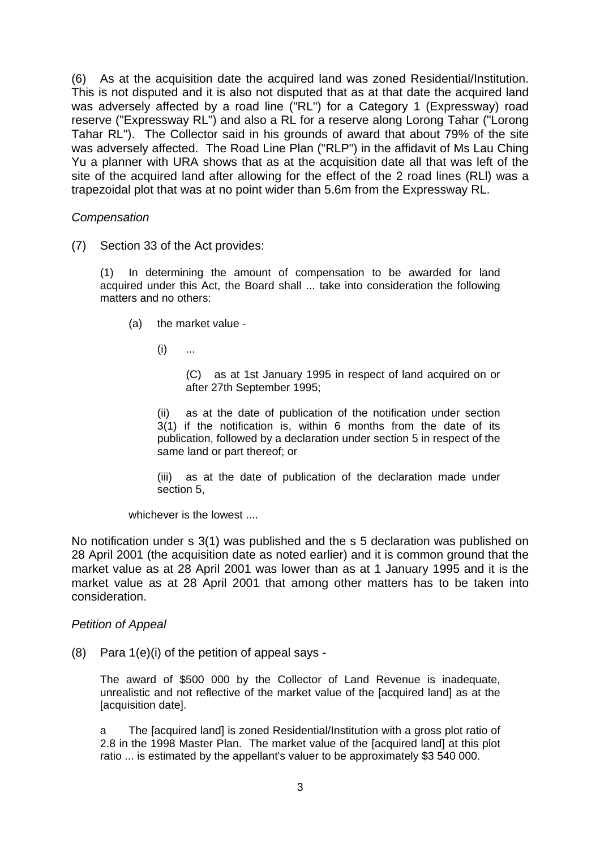(6) As at the acquisition date the acquired land was zoned Residential/Institution. This is not disputed and it is also not disputed that as at that date the acquired land was adversely affected by a road line ("RL") for a Category 1 (Expressway) road reserve ("Expressway RL") and also a RL for a reserve along Lorong Tahar ("Lorong Tahar RL"). The Collector said in his grounds of award that about 79% of the site was adversely affected. The Road Line Plan ("RLP") in the affidavit of Ms Lau Ching Yu a planner with URA shows that as at the acquisition date all that was left of the site of the acquired land after allowing for the effect of the 2 road lines (RLl) was a trapezoidal plot that was at no point wider than 5.6m from the Expressway RL.

### *Compensation*

(7) Section 33 of the Act provides:

(1) In determining the amount of compensation to be awarded for land acquired under this Act, the Board shall ... take into consideration the following matters and no others:

- (a) the market value
	- $(i)$  ...

(C) as at 1st January 1995 in respect of land acquired on or after 27th September 1995;

(ii) as at the date of publication of the notification under section 3(1) if the notification is, within 6 months from the date of its publication, followed by a declaration under section 5 in respect of the same land or part thereof; or

(iii) as at the date of publication of the declaration made under section 5,

whichever is the lowest

No notification under s 3(1) was published and the s 5 declaration was published on 28 April 2001 (the acquisition date as noted earlier) and it is common ground that the market value as at 28 April 2001 was lower than as at 1 January 1995 and it is the market value as at 28 April 2001 that among other matters has to be taken into consideration.

#### *Petition of Appeal*

 $(8)$  Para 1(e)(i) of the petition of appeal says -

The award of \$500 000 by the Collector of Land Revenue is inadequate, unrealistic and not reflective of the market value of the [acquired land] as at the [acquisition date].

a The [acquired land] is zoned Residential/Institution with a gross plot ratio of 2.8 in the 1998 Master Plan. The market value of the [acquired land] at this plot ratio ... is estimated by the appellant's valuer to be approximately \$3 540 000.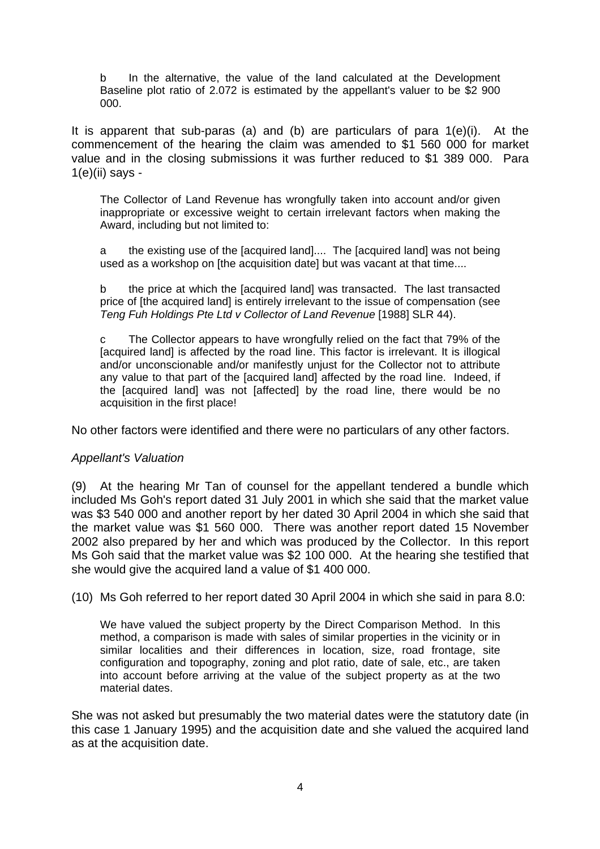b In the alternative, the value of the land calculated at the Development Baseline plot ratio of 2.072 is estimated by the appellant's valuer to be \$2 900 000.

It is apparent that sub-paras (a) and (b) are particulars of para 1(e)(i). At the commencement of the hearing the claim was amended to \$1 560 000 for market value and in the closing submissions it was further reduced to \$1 389 000. Para  $1(e)$ (ii) says -

The Collector of Land Revenue has wrongfully taken into account and/or given inappropriate or excessive weight to certain irrelevant factors when making the Award, including but not limited to:

a the existing use of the [acquired land].... The [acquired land] was not being used as a workshop on [the acquisition date] but was vacant at that time....

b the price at which the [acquired land] was transacted. The last transacted price of [the acquired land] is entirely irrelevant to the issue of compensation (see *Teng Fuh Holdings Pte Ltd v Collector of Land Revenue* [1988] SLR 44).

c The Collector appears to have wrongfully relied on the fact that 79% of the [acquired land] is affected by the road line. This factor is irrelevant. It is illogical and/or unconscionable and/or manifestly unjust for the Collector not to attribute any value to that part of the [acquired land] affected by the road line. Indeed, if the [acquired land] was not [affected] by the road line, there would be no acquisition in the first place!

No other factors were identified and there were no particulars of any other factors.

## *Appellant's Valuation*

(9) At the hearing Mr Tan of counsel for the appellant tendered a bundle which included Ms Goh's report dated 31 July 2001 in which she said that the market value was \$3 540 000 and another report by her dated 30 April 2004 in which she said that the market value was \$1 560 000. There was another report dated 15 November 2002 also prepared by her and which was produced by the Collector. In this report Ms Goh said that the market value was \$2 100 000. At the hearing she testified that she would give the acquired land a value of \$1 400 000.

(10) Ms Goh referred to her report dated 30 April 2004 in which she said in para 8.0:

We have valued the subject property by the Direct Comparison Method. In this method, a comparison is made with sales of similar properties in the vicinity or in similar localities and their differences in location, size, road frontage, site configuration and topography, zoning and plot ratio, date of sale, etc., are taken into account before arriving at the value of the subject property as at the two material dates.

She was not asked but presumably the two material dates were the statutory date (in this case 1 January 1995) and the acquisition date and she valued the acquired land as at the acquisition date.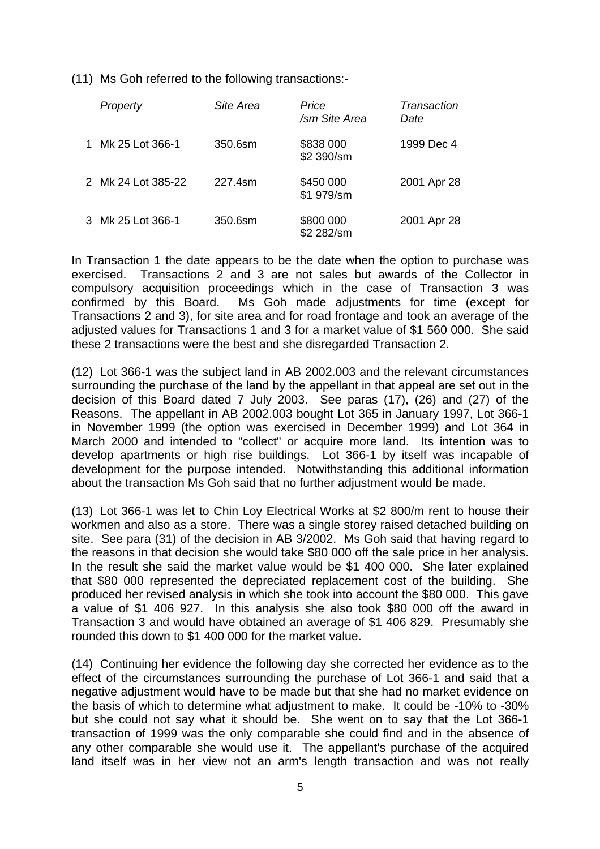(11) Ms Goh referred to the following transactions:-

|    | Property           | Site Area | Price<br>/sm Site Area  | Transaction<br>Date |
|----|--------------------|-----------|-------------------------|---------------------|
| 1. | Mk 25 Lot 366-1    | 350.6sm   | \$838 000<br>\$2 390/sm | 1999 Dec 4          |
|    | 2 Mk 24 Lot 385-22 | 227.4sm   | \$450 000<br>\$1 979/sm | 2001 Apr 28         |
|    | 3 Mk 25 Lot 366-1  | 350.6sm   | \$800 000<br>\$2 282/sm | 2001 Apr 28         |

In Transaction 1 the date appears to be the date when the option to purchase was exercised. Transactions 2 and 3 are not sales but awards of the Collector in compulsory acquisition proceedings which in the case of Transaction 3 was confirmed by this Board. Ms Goh made adjustments for time (except for Transactions 2 and 3), for site area and for road frontage and took an average of the adjusted values for Transactions 1 and 3 for a market value of \$1 560 000. She said these 2 transactions were the best and she disregarded Transaction 2.

(12) Lot 366-1 was the subject land in AB 2002.003 and the relevant circumstances surrounding the purchase of the land by the appellant in that appeal are set out in the decision of this Board dated 7 July 2003. See paras (17), (26) and (27) of the Reasons. The appellant in AB 2002.003 bought Lot 365 in January 1997, Lot 366-1 in November 1999 (the option was exercised in December 1999) and Lot 364 in March 2000 and intended to "collect" or acquire more land. Its intention was to develop apartments or high rise buildings. Lot 366-1 by itself was incapable of development for the purpose intended. Notwithstanding this additional information about the transaction Ms Goh said that no further adjustment would be made.

(13) Lot 366-1 was let to Chin Loy Electrical Works at \$2 800/m rent to house their workmen and also as a store. There was a single storey raised detached building on site. See para (31) of the decision in AB 3/2002. Ms Goh said that having regard to the reasons in that decision she would take \$80 000 off the sale price in her analysis. In the result she said the market value would be \$1 400 000. She later explained that \$80 000 represented the depreciated replacement cost of the building. She produced her revised analysis in which she took into account the \$80 000. This gave a value of \$1 406 927. In this analysis she also took \$80 000 off the award in Transaction 3 and would have obtained an average of \$1 406 829. Presumably she rounded this down to \$1 400 000 for the market value.

(14) Continuing her evidence the following day she corrected her evidence as to the effect of the circumstances surrounding the purchase of Lot 366-1 and said that a negative adjustment would have to be made but that she had no market evidence on the basis of which to determine what adjustment to make. It could be -10% to -30% but she could not say what it should be. She went on to say that the Lot 366-1 transaction of 1999 was the only comparable she could find and in the absence of any other comparable she would use it. The appellant's purchase of the acquired land itself was in her view not an arm's length transaction and was not really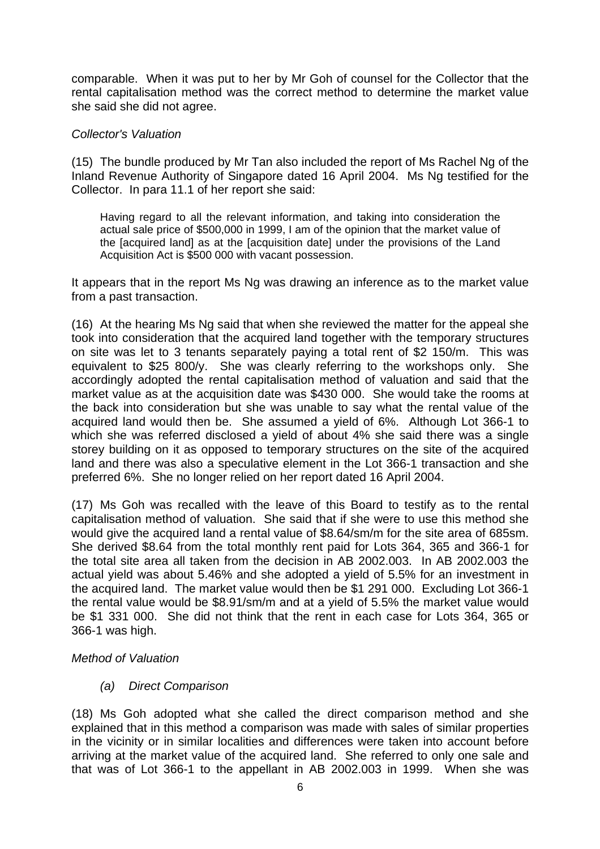comparable. When it was put to her by Mr Goh of counsel for the Collector that the rental capitalisation method was the correct method to determine the market value she said she did not agree.

### *Collector's Valuation*

(15) The bundle produced by Mr Tan also included the report of Ms Rachel Ng of the Inland Revenue Authority of Singapore dated 16 April 2004. Ms Ng testified for the Collector. In para 11.1 of her report she said:

Having regard to all the relevant information, and taking into consideration the actual sale price of \$500,000 in 1999, I am of the opinion that the market value of the [acquired land] as at the [acquisition date] under the provisions of the Land Acquisition Act is \$500 000 with vacant possession.

It appears that in the report Ms Ng was drawing an inference as to the market value from a past transaction.

(16) At the hearing Ms Ng said that when she reviewed the matter for the appeal she took into consideration that the acquired land together with the temporary structures on site was let to 3 tenants separately paying a total rent of \$2 150/m. This was equivalent to \$25 800/y. She was clearly referring to the workshops only. She accordingly adopted the rental capitalisation method of valuation and said that the market value as at the acquisition date was \$430 000. She would take the rooms at the back into consideration but she was unable to say what the rental value of the acquired land would then be. She assumed a yield of 6%. Although Lot 366-1 to which she was referred disclosed a yield of about 4% she said there was a single storey building on it as opposed to temporary structures on the site of the acquired land and there was also a speculative element in the Lot 366-1 transaction and she preferred 6%. She no longer relied on her report dated 16 April 2004.

(17) Ms Goh was recalled with the leave of this Board to testify as to the rental capitalisation method of valuation. She said that if she were to use this method she would give the acquired land a rental value of \$8.64/sm/m for the site area of 685sm. She derived \$8.64 from the total monthly rent paid for Lots 364, 365 and 366-1 for the total site area all taken from the decision in AB 2002.003. In AB 2002.003 the actual yield was about 5.46% and she adopted a yield of 5.5% for an investment in the acquired land. The market value would then be \$1 291 000. Excluding Lot 366-1 the rental value would be \$8.91/sm/m and at a yield of 5.5% the market value would be \$1 331 000. She did not think that the rent in each case for Lots 364, 365 or 366-1 was high.

## *Method of Valuation*

 *(a) Direct Comparison* 

(18) Ms Goh adopted what she called the direct comparison method and she explained that in this method a comparison was made with sales of similar properties in the vicinity or in similar localities and differences were taken into account before arriving at the market value of the acquired land. She referred to only one sale and that was of Lot 366-1 to the appellant in AB 2002.003 in 1999. When she was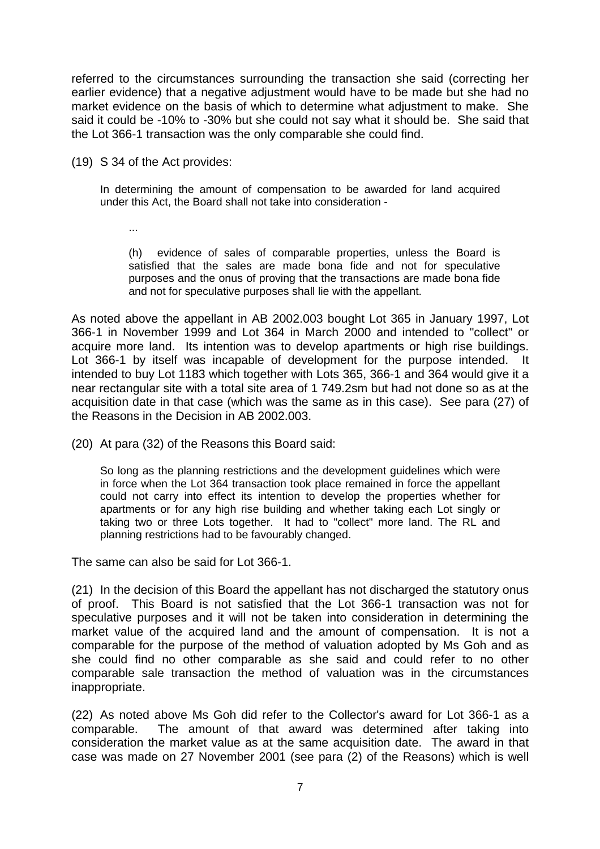referred to the circumstances surrounding the transaction she said (correcting her earlier evidence) that a negative adjustment would have to be made but she had no market evidence on the basis of which to determine what adjustment to make. She said it could be -10% to -30% but she could not say what it should be. She said that the Lot 366-1 transaction was the only comparable she could find.

(19) S 34 of the Act provides:

In determining the amount of compensation to be awarded for land acquired under this Act, the Board shall not take into consideration -

...

 (h) evidence of sales of comparable properties, unless the Board is satisfied that the sales are made bona fide and not for speculative purposes and the onus of proving that the transactions are made bona fide and not for speculative purposes shall lie with the appellant.

As noted above the appellant in AB 2002.003 bought Lot 365 in January 1997, Lot 366-1 in November 1999 and Lot 364 in March 2000 and intended to "collect" or acquire more land. Its intention was to develop apartments or high rise buildings. Lot 366-1 by itself was incapable of development for the purpose intended. It intended to buy Lot 1183 which together with Lots 365, 366-1 and 364 would give it a near rectangular site with a total site area of 1 749.2sm but had not done so as at the acquisition date in that case (which was the same as in this case). See para (27) of the Reasons in the Decision in AB 2002.003.

(20) At para (32) of the Reasons this Board said:

So long as the planning restrictions and the development guidelines which were in force when the Lot 364 transaction took place remained in force the appellant could not carry into effect its intention to develop the properties whether for apartments or for any high rise building and whether taking each Lot singly or taking two or three Lots together. It had to "collect" more land. The RL and planning restrictions had to be favourably changed.

The same can also be said for Lot 366-1.

(21) In the decision of this Board the appellant has not discharged the statutory onus of proof. This Board is not satisfied that the Lot 366-1 transaction was not for speculative purposes and it will not be taken into consideration in determining the market value of the acquired land and the amount of compensation. It is not a comparable for the purpose of the method of valuation adopted by Ms Goh and as she could find no other comparable as she said and could refer to no other comparable sale transaction the method of valuation was in the circumstances inappropriate.

(22) As noted above Ms Goh did refer to the Collector's award for Lot 366-1 as a comparable. The amount of that award was determined after taking into consideration the market value as at the same acquisition date. The award in that case was made on 27 November 2001 (see para (2) of the Reasons) which is well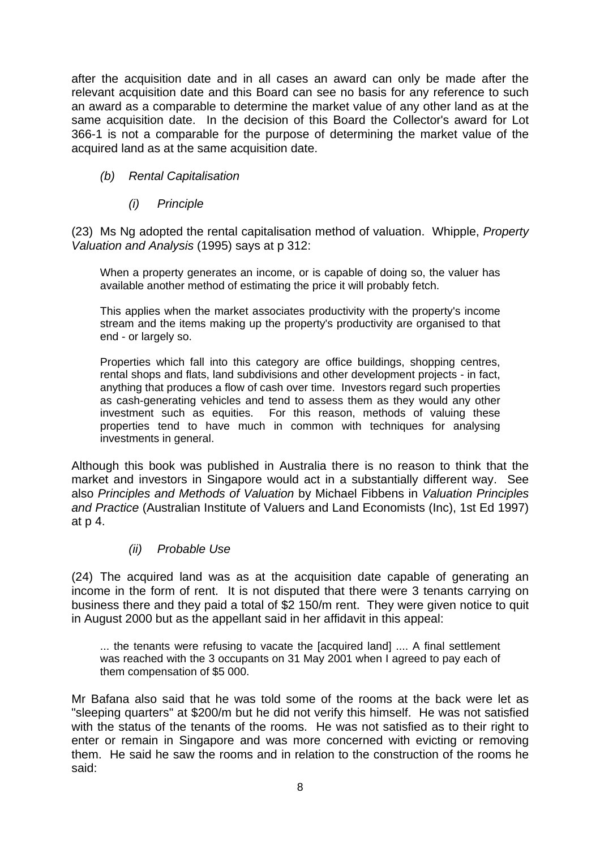after the acquisition date and in all cases an award can only be made after the relevant acquisition date and this Board can see no basis for any reference to such an award as a comparable to determine the market value of any other land as at the same acquisition date. In the decision of this Board the Collector's award for Lot 366-1 is not a comparable for the purpose of determining the market value of the acquired land as at the same acquisition date.

# *(b) Rental Capitalisation*

## *(i) Principle*

(23) Ms Ng adopted the rental capitalisation method of valuation. Whipple, *Property Valuation and Analysis* (1995) says at p 312:

When a property generates an income, or is capable of doing so, the valuer has available another method of estimating the price it will probably fetch.

This applies when the market associates productivity with the property's income stream and the items making up the property's productivity are organised to that end - or largely so.

Properties which fall into this category are office buildings, shopping centres, rental shops and flats, land subdivisions and other development projects - in fact, anything that produces a flow of cash over time. Investors regard such properties as cash-generating vehicles and tend to assess them as they would any other investment such as equities. For this reason, methods of valuing these properties tend to have much in common with techniques for analysing investments in general.

Although this book was published in Australia there is no reason to think that the market and investors in Singapore would act in a substantially different way. See also *Principles and Methods of Valuation* by Michael Fibbens in *Valuation Principles and Practice* (Australian Institute of Valuers and Land Economists (Inc), 1st Ed 1997) at p 4.

## *(ii) Probable Use*

(24) The acquired land was as at the acquisition date capable of generating an income in the form of rent. It is not disputed that there were 3 tenants carrying on business there and they paid a total of \$2 150/m rent. They were given notice to quit in August 2000 but as the appellant said in her affidavit in this appeal:

... the tenants were refusing to vacate the [acquired land] .... A final settlement was reached with the 3 occupants on 31 May 2001 when I agreed to pay each of them compensation of \$5 000.

Mr Bafana also said that he was told some of the rooms at the back were let as "sleeping quarters" at \$200/m but he did not verify this himself. He was not satisfied with the status of the tenants of the rooms. He was not satisfied as to their right to enter or remain in Singapore and was more concerned with evicting or removing them. He said he saw the rooms and in relation to the construction of the rooms he said: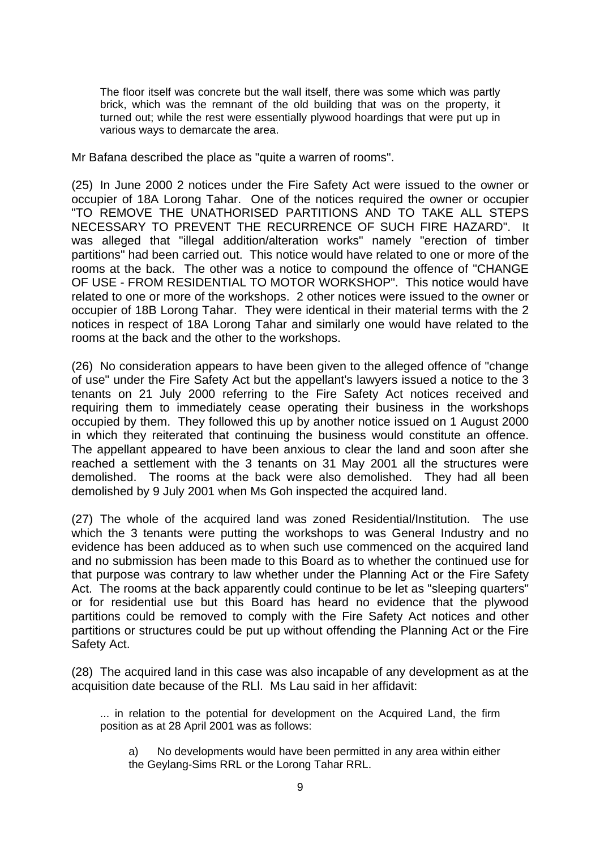The floor itself was concrete but the wall itself, there was some which was partly brick, which was the remnant of the old building that was on the property, it turned out; while the rest were essentially plywood hoardings that were put up in various ways to demarcate the area.

Mr Bafana described the place as "quite a warren of rooms".

(25) In June 2000 2 notices under the Fire Safety Act were issued to the owner or occupier of 18A Lorong Tahar. One of the notices required the owner or occupier "TO REMOVE THE UNATHORISED PARTITIONS AND TO TAKE ALL STEPS NECESSARY TO PREVENT THE RECURRENCE OF SUCH FIRE HAZARD". It was alleged that "illegal addition/alteration works" namely "erection of timber partitions" had been carried out. This notice would have related to one or more of the rooms at the back. The other was a notice to compound the offence of "CHANGE OF USE - FROM RESIDENTIAL TO MOTOR WORKSHOP". This notice would have related to one or more of the workshops. 2 other notices were issued to the owner or occupier of 18B Lorong Tahar. They were identical in their material terms with the 2 notices in respect of 18A Lorong Tahar and similarly one would have related to the rooms at the back and the other to the workshops.

(26) No consideration appears to have been given to the alleged offence of "change of use" under the Fire Safety Act but the appellant's lawyers issued a notice to the 3 tenants on 21 July 2000 referring to the Fire Safety Act notices received and requiring them to immediately cease operating their business in the workshops occupied by them. They followed this up by another notice issued on 1 August 2000 in which they reiterated that continuing the business would constitute an offence. The appellant appeared to have been anxious to clear the land and soon after she reached a settlement with the 3 tenants on 31 May 2001 all the structures were demolished. The rooms at the back were also demolished. They had all been demolished by 9 July 2001 when Ms Goh inspected the acquired land.

(27) The whole of the acquired land was zoned Residential/Institution. The use which the 3 tenants were putting the workshops to was General Industry and no evidence has been adduced as to when such use commenced on the acquired land and no submission has been made to this Board as to whether the continued use for that purpose was contrary to law whether under the Planning Act or the Fire Safety Act. The rooms at the back apparently could continue to be let as "sleeping quarters" or for residential use but this Board has heard no evidence that the plywood partitions could be removed to comply with the Fire Safety Act notices and other partitions or structures could be put up without offending the Planning Act or the Fire Safety Act.

(28) The acquired land in this case was also incapable of any development as at the acquisition date because of the RLl. Ms Lau said in her affidavit:

... in relation to the potential for development on the Acquired Land, the firm position as at 28 April 2001 was as follows:

 a) No developments would have been permitted in any area within either the Geylang-Sims RRL or the Lorong Tahar RRL.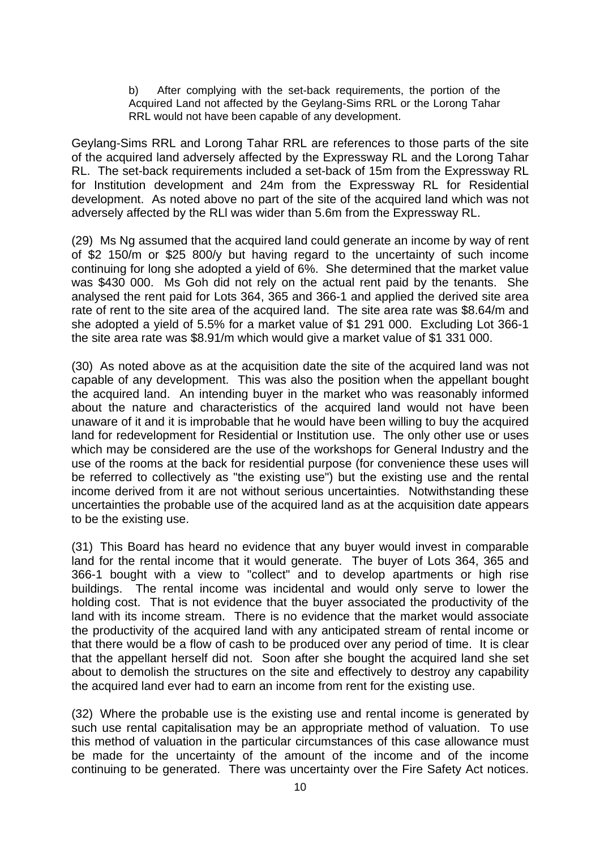b) After complying with the set-back requirements, the portion of the Acquired Land not affected by the Geylang-Sims RRL or the Lorong Tahar RRL would not have been capable of any development.

Geylang-Sims RRL and Lorong Tahar RRL are references to those parts of the site of the acquired land adversely affected by the Expressway RL and the Lorong Tahar RL. The set-back requirements included a set-back of 15m from the Expressway RL for Institution development and 24m from the Expressway RL for Residential development. As noted above no part of the site of the acquired land which was not adversely affected by the RLl was wider than 5.6m from the Expressway RL.

(29) Ms Ng assumed that the acquired land could generate an income by way of rent of \$2 150/m or \$25 800/y but having regard to the uncertainty of such income continuing for long she adopted a yield of 6%. She determined that the market value was \$430 000. Ms Goh did not rely on the actual rent paid by the tenants. She analysed the rent paid for Lots 364, 365 and 366-1 and applied the derived site area rate of rent to the site area of the acquired land. The site area rate was \$8.64/m and she adopted a yield of 5.5% for a market value of \$1 291 000. Excluding Lot 366-1 the site area rate was \$8.91/m which would give a market value of \$1 331 000.

(30) As noted above as at the acquisition date the site of the acquired land was not capable of any development. This was also the position when the appellant bought the acquired land. An intending buyer in the market who was reasonably informed about the nature and characteristics of the acquired land would not have been unaware of it and it is improbable that he would have been willing to buy the acquired land for redevelopment for Residential or Institution use. The only other use or uses which may be considered are the use of the workshops for General Industry and the use of the rooms at the back for residential purpose (for convenience these uses will be referred to collectively as "the existing use") but the existing use and the rental income derived from it are not without serious uncertainties. Notwithstanding these uncertainties the probable use of the acquired land as at the acquisition date appears to be the existing use.

(31) This Board has heard no evidence that any buyer would invest in comparable land for the rental income that it would generate. The buyer of Lots 364, 365 and 366-1 bought with a view to "collect" and to develop apartments or high rise buildings. The rental income was incidental and would only serve to lower the holding cost. That is not evidence that the buyer associated the productivity of the land with its income stream. There is no evidence that the market would associate the productivity of the acquired land with any anticipated stream of rental income or that there would be a flow of cash to be produced over any period of time. It is clear that the appellant herself did not. Soon after she bought the acquired land she set about to demolish the structures on the site and effectively to destroy any capability the acquired land ever had to earn an income from rent for the existing use.

(32) Where the probable use is the existing use and rental income is generated by such use rental capitalisation may be an appropriate method of valuation. To use this method of valuation in the particular circumstances of this case allowance must be made for the uncertainty of the amount of the income and of the income continuing to be generated. There was uncertainty over the Fire Safety Act notices.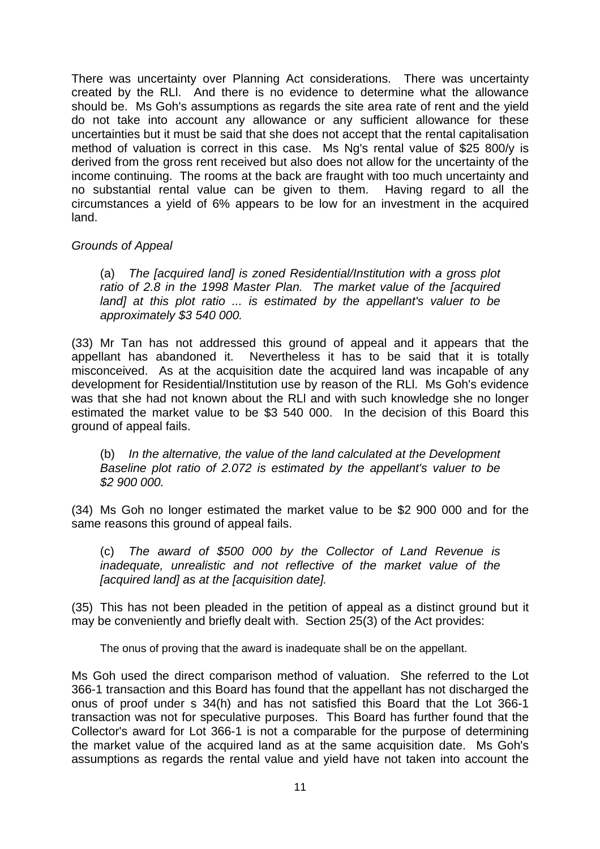There was uncertainty over Planning Act considerations. There was uncertainty created by the RLl. And there is no evidence to determine what the allowance should be. Ms Goh's assumptions as regards the site area rate of rent and the yield do not take into account any allowance or any sufficient allowance for these uncertainties but it must be said that she does not accept that the rental capitalisation method of valuation is correct in this case. Ms Ng's rental value of \$25 800/y is derived from the gross rent received but also does not allow for the uncertainty of the income continuing. The rooms at the back are fraught with too much uncertainty and no substantial rental value can be given to them. Having regard to all the circumstances a yield of 6% appears to be low for an investment in the acquired land.

# *Grounds of Appeal*

(a) *The [acquired land] is zoned Residential/Institution with a gross plot ratio of 2.8 in the 1998 Master Plan. The market value of the [acquired land] at this plot ratio ... is estimated by the appellant's valuer to be approximately \$3 540 000.*

(33) Mr Tan has not addressed this ground of appeal and it appears that the appellant has abandoned it. Nevertheless it has to be said that it is totally misconceived. As at the acquisition date the acquired land was incapable of any development for Residential/Institution use by reason of the RLl. Ms Goh's evidence was that she had not known about the RLl and with such knowledge she no longer estimated the market value to be \$3 540 000. In the decision of this Board this ground of appeal fails.

(b) *In the alternative, the value of the land calculated at the Development Baseline plot ratio of 2.072 is estimated by the appellant's valuer to be \$2 900 000.*

(34) Ms Goh no longer estimated the market value to be \$2 900 000 and for the same reasons this ground of appeal fails.

(c) *The award of \$500 000 by the Collector of Land Revenue is inadequate, unrealistic and not reflective of the market value of the [acquired land] as at the [acquisition date].*

(35) This has not been pleaded in the petition of appeal as a distinct ground but it may be conveniently and briefly dealt with. Section 25(3) of the Act provides:

The onus of proving that the award is inadequate shall be on the appellant.

Ms Goh used the direct comparison method of valuation. She referred to the Lot 366-1 transaction and this Board has found that the appellant has not discharged the onus of proof under s 34(h) and has not satisfied this Board that the Lot 366-1 transaction was not for speculative purposes. This Board has further found that the Collector's award for Lot 366-1 is not a comparable for the purpose of determining the market value of the acquired land as at the same acquisition date. Ms Goh's assumptions as regards the rental value and yield have not taken into account the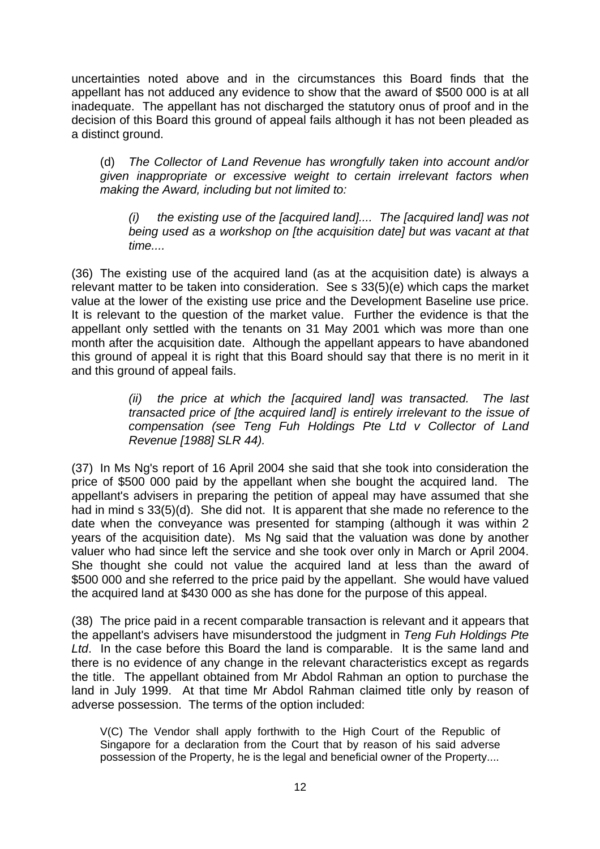uncertainties noted above and in the circumstances this Board finds that the appellant has not adduced any evidence to show that the award of \$500 000 is at all inadequate. The appellant has not discharged the statutory onus of proof and in the decision of this Board this ground of appeal fails although it has not been pleaded as a distinct ground.

(d) *The Collector of Land Revenue has wrongfully taken into account and/or given inappropriate or excessive weight to certain irrelevant factors when making the Award, including but not limited to:* 

*(i) the existing use of the [acquired land].... The [acquired land] was not being used as a workshop on [the acquisition date] but was vacant at that time....* 

(36) The existing use of the acquired land (as at the acquisition date) is always a relevant matter to be taken into consideration. See s 33(5)(e) which caps the market value at the lower of the existing use price and the Development Baseline use price. It is relevant to the question of the market value. Further the evidence is that the appellant only settled with the tenants on 31 May 2001 which was more than one month after the acquisition date. Although the appellant appears to have abandoned this ground of appeal it is right that this Board should say that there is no merit in it and this ground of appeal fails.

> *(ii) the price at which the [acquired land] was transacted. The last transacted price of [the acquired land] is entirely irrelevant to the issue of compensation (see Teng Fuh Holdings Pte Ltd v Collector of Land Revenue [1988] SLR 44).*

(37) In Ms Ng's report of 16 April 2004 she said that she took into consideration the price of \$500 000 paid by the appellant when she bought the acquired land. The appellant's advisers in preparing the petition of appeal may have assumed that she had in mind s 33(5)(d). She did not. It is apparent that she made no reference to the date when the conveyance was presented for stamping (although it was within 2 years of the acquisition date). Ms Ng said that the valuation was done by another valuer who had since left the service and she took over only in March or April 2004. She thought she could not value the acquired land at less than the award of \$500 000 and she referred to the price paid by the appellant. She would have valued the acquired land at \$430 000 as she has done for the purpose of this appeal.

(38) The price paid in a recent comparable transaction is relevant and it appears that the appellant's advisers have misunderstood the judgment in *Teng Fuh Holdings Pte Ltd*. In the case before this Board the land is comparable. It is the same land and there is no evidence of any change in the relevant characteristics except as regards the title. The appellant obtained from Mr Abdol Rahman an option to purchase the land in July 1999. At that time Mr Abdol Rahman claimed title only by reason of adverse possession. The terms of the option included:

V(C) The Vendor shall apply forthwith to the High Court of the Republic of Singapore for a declaration from the Court that by reason of his said adverse possession of the Property, he is the legal and beneficial owner of the Property....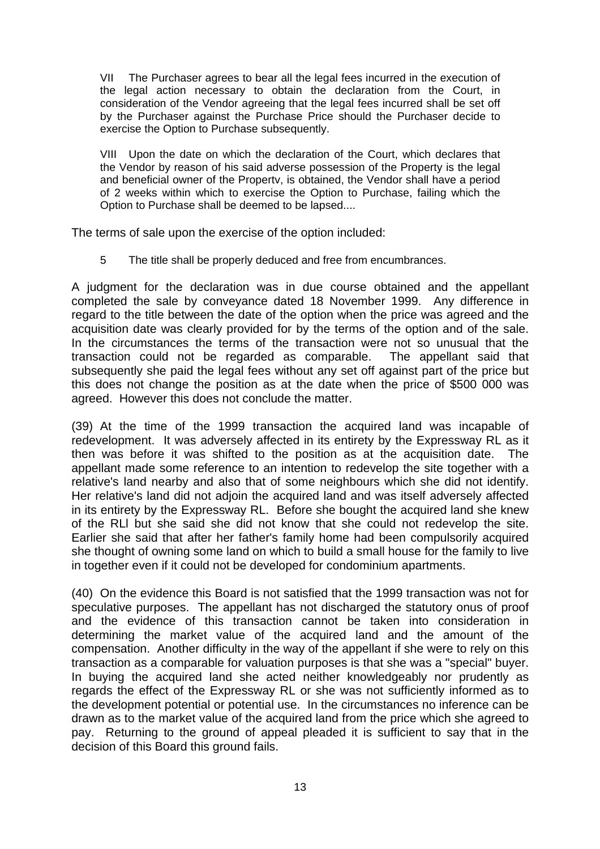VII The Purchaser agrees to bear all the legal fees incurred in the execution of the legal action necessary to obtain the declaration from the Court, in consideration of the Vendor agreeing that the legal fees incurred shall be set off by the Purchaser against the Purchase Price should the Purchaser decide to exercise the Option to Purchase subsequently.

VIII Upon the date on which the declaration of the Court, which declares that the Vendor by reason of his said adverse possession of the Property is the legal and beneficial owner of the Propertv, is obtained, the Vendor shall have a period of 2 weeks within which to exercise the Option to Purchase, failing which the Option to Purchase shall be deemed to be lapsed....

The terms of sale upon the exercise of the option included:

5 The title shall be properly deduced and free from encumbrances.

A judgment for the declaration was in due course obtained and the appellant completed the sale by conveyance dated 18 November 1999. Any difference in regard to the title between the date of the option when the price was agreed and the acquisition date was clearly provided for by the terms of the option and of the sale. In the circumstances the terms of the transaction were not so unusual that the transaction could not be regarded as comparable. The appellant said that subsequently she paid the legal fees without any set off against part of the price but this does not change the position as at the date when the price of \$500 000 was agreed. However this does not conclude the matter.

(39) At the time of the 1999 transaction the acquired land was incapable of redevelopment. It was adversely affected in its entirety by the Expressway RL as it then was before it was shifted to the position as at the acquisition date. The appellant made some reference to an intention to redevelop the site together with a relative's land nearby and also that of some neighbours which she did not identify. Her relative's land did not adjoin the acquired land and was itself adversely affected in its entirety by the Expressway RL. Before she bought the acquired land she knew of the RLl but she said she did not know that she could not redevelop the site. Earlier she said that after her father's family home had been compulsorily acquired she thought of owning some land on which to build a small house for the family to live in together even if it could not be developed for condominium apartments.

(40) On the evidence this Board is not satisfied that the 1999 transaction was not for speculative purposes. The appellant has not discharged the statutory onus of proof and the evidence of this transaction cannot be taken into consideration in determining the market value of the acquired land and the amount of the compensation. Another difficulty in the way of the appellant if she were to rely on this transaction as a comparable for valuation purposes is that she was a "special" buyer. In buying the acquired land she acted neither knowledgeably nor prudently as regards the effect of the Expressway RL or she was not sufficiently informed as to the development potential or potential use. In the circumstances no inference can be drawn as to the market value of the acquired land from the price which she agreed to pay. Returning to the ground of appeal pleaded it is sufficient to say that in the decision of this Board this ground fails.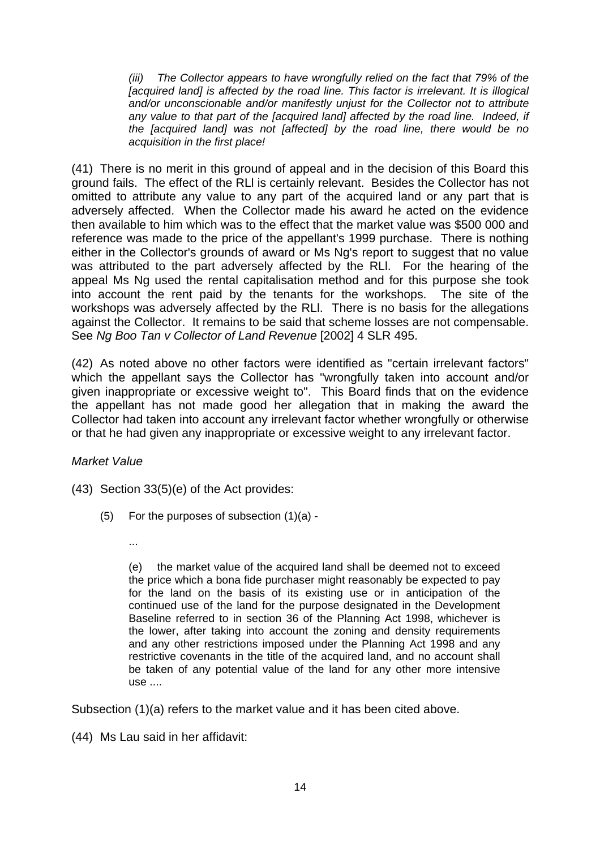*(iii) The Collector appears to have wrongfully relied on the fact that 79% of the [acquired land] is affected by the road line. This factor is irrelevant. It is illogical and/or unconscionable and/or manifestly unjust for the Collector not to attribute any value to that part of the [acquired land] affected by the road line. Indeed, if the [acquired land] was not [affected] by the road line, there would be no acquisition in the first place!* 

(41) There is no merit in this ground of appeal and in the decision of this Board this ground fails. The effect of the RLl is certainly relevant. Besides the Collector has not omitted to attribute any value to any part of the acquired land or any part that is adversely affected. When the Collector made his award he acted on the evidence then available to him which was to the effect that the market value was \$500 000 and reference was made to the price of the appellant's 1999 purchase. There is nothing either in the Collector's grounds of award or Ms Ng's report to suggest that no value was attributed to the part adversely affected by the RLl. For the hearing of the appeal Ms Ng used the rental capitalisation method and for this purpose she took into account the rent paid by the tenants for the workshops. The site of the workshops was adversely affected by the RLl. There is no basis for the allegations against the Collector. It remains to be said that scheme losses are not compensable. See *Ng Boo Tan v Collector of Land Revenue* [2002] 4 SLR 495.

(42) As noted above no other factors were identified as "certain irrelevant factors" which the appellant says the Collector has "wrongfully taken into account and/or given inappropriate or excessive weight to". This Board finds that on the evidence the appellant has not made good her allegation that in making the award the Collector had taken into account any irrelevant factor whether wrongfully or otherwise or that he had given any inappropriate or excessive weight to any irrelevant factor.

*Market Value*

- (43) Section 33(5)(e) of the Act provides:
	- (5) For the purposes of subsection (1)(a)
		- ...

(e) the market value of the acquired land shall be deemed not to exceed the price which a bona fide purchaser might reasonably be expected to pay for the land on the basis of its existing use or in anticipation of the continued use of the land for the purpose designated in the Development Baseline referred to in section 36 of the Planning Act 1998, whichever is the lower, after taking into account the zoning and density requirements and any other restrictions imposed under the Planning Act 1998 and any restrictive covenants in the title of the acquired land, and no account shall be taken of any potential value of the land for any other more intensive use ....

Subsection (1)(a) refers to the market value and it has been cited above.

(44) Ms Lau said in her affidavit: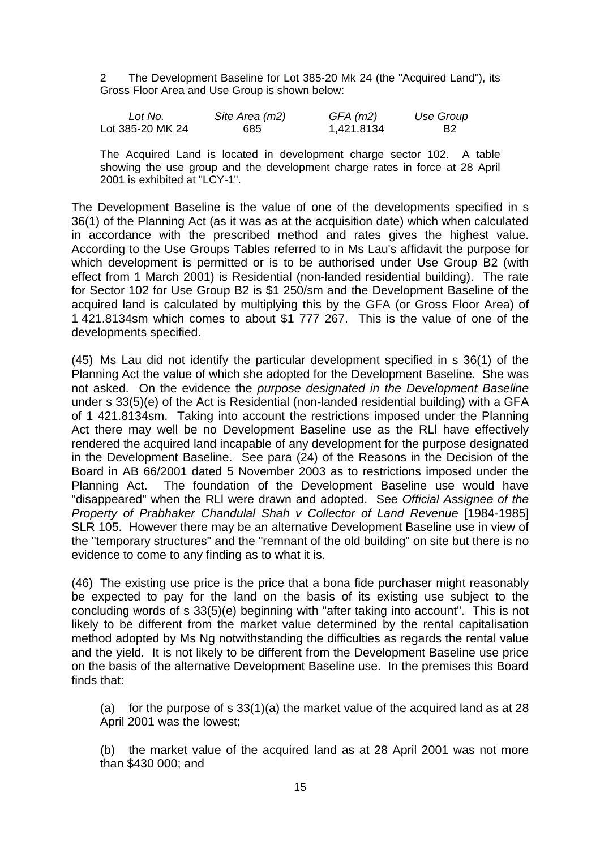2 The Development Baseline for Lot 385-20 Mk 24 (the "Acquired Land"), its Gross Floor Area and Use Group is shown below:

| Lot No.          | Site Area (m2) | $GFA$ (m2) | Use Group |
|------------------|----------------|------------|-----------|
| Lot 385-20 MK 24 | 685            | 1,421.8134 | - B2      |

The Acquired Land is located in development charge sector 102. A table showing the use group and the development charge rates in force at 28 April 2001 is exhibited at "LCY-1".

The Development Baseline is the value of one of the developments specified in s 36(1) of the Planning Act (as it was as at the acquisition date) which when calculated in accordance with the prescribed method and rates gives the highest value. According to the Use Groups Tables referred to in Ms Lau's affidavit the purpose for which development is permitted or is to be authorised under Use Group B2 (with effect from 1 March 2001) is Residential (non-landed residential building). The rate for Sector 102 for Use Group B2 is \$1 250/sm and the Development Baseline of the acquired land is calculated by multiplying this by the GFA (or Gross Floor Area) of 1 421.8134sm which comes to about \$1 777 267. This is the value of one of the developments specified.

(45) Ms Lau did not identify the particular development specified in s 36(1) of the Planning Act the value of which she adopted for the Development Baseline. She was not asked. On the evidence the *purpose designated in the Development Baseline* under s 33(5)(e) of the Act is Residential (non-landed residential building) with a GFA of 1 421.8134sm. Taking into account the restrictions imposed under the Planning Act there may well be no Development Baseline use as the RLl have effectively rendered the acquired land incapable of any development for the purpose designated in the Development Baseline. See para (24) of the Reasons in the Decision of the Board in AB 66/2001 dated 5 November 2003 as to restrictions imposed under the Planning Act. The foundation of the Development Baseline use would have "disappeared" when the RLl were drawn and adopted. See *Official Assignee of the Property of Prabhaker Chandulal Shah v Collector of Land Revenue* [1984-1985] SLR 105. However there may be an alternative Development Baseline use in view of the "temporary structures" and the "remnant of the old building" on site but there is no evidence to come to any finding as to what it is.

(46) The existing use price is the price that a bona fide purchaser might reasonably be expected to pay for the land on the basis of its existing use subject to the concluding words of s 33(5)(e) beginning with "after taking into account". This is not likely to be different from the market value determined by the rental capitalisation method adopted by Ms Ng notwithstanding the difficulties as regards the rental value and the yield. It is not likely to be different from the Development Baseline use price on the basis of the alternative Development Baseline use. In the premises this Board finds that:

(a) for the purpose of s  $33(1)(a)$  the market value of the acquired land as at 28 April 2001 was the lowest;

(b) the market value of the acquired land as at 28 April 2001 was not more than \$430 000; and